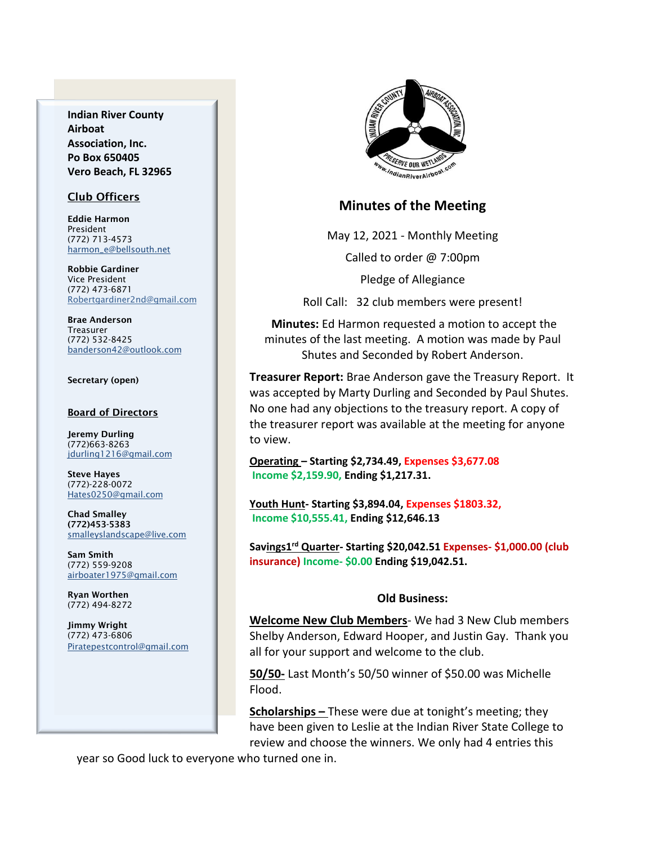**Indian River County Airboat Association, Inc. Po Box 650405 Vero Beach, FL 32965**

### Club Officers

Eddie Harmon President (772) 713-4573 [harmon\\_e@bellsouth.net](mailto:dougflood772@aol.com)

Robbie Gardiner Vice President (772) 473-6871 [Robertgardiner2nd@gmail.com](mailto:Robertgardiner2nd@gmail.com)

Brae Anderson Treasurer (772) 532-8425 [banderson42@outlook.com](mailto:banderson42@outlook.com)

#### Secretary (open)

#### Board of Directors

Jeremy Durling (772)663-8263 [jdurling1216@gmail.com](mailto:shufamil@peoplepc.com)

Steve Hayes (772)-228-0072 Hates0250@gmail.com

Chad Smalley (772)453-5383 smalleyslandscape@live.com

Sam Smith (772) 559-9208 [airboater1975@gmail.com](mailto:Airboater22@gmail.com)

Ryan Worthen (772) 494-8272

Jimmy Wright (772) 473-6806 Piratepestcontrol@gmail.com



# **Minutes of the Meeting**

May 12, 2021 - Monthly Meeting

Called to order @ 7:00pm

Pledge of Allegiance

Roll Call: 32 club members were present!

**Minutes:** Ed Harmon requested a motion to accept the minutes of the last meeting. A motion was made by Paul Shutes and Seconded by Robert Anderson.

**Treasurer Report:** Brae Anderson gave the Treasury Report. It was accepted by Marty Durling and Seconded by Paul Shutes. No one had any objections to the treasury report. A copy of the treasurer report was available at the meeting for anyone to view.

**Operating – Starting \$2,734.49, Expenses \$3,677.08 Income \$2,159.90, Ending \$1,217.31.**

**Youth Hunt- Starting \$3,894.04, Expenses \$1803.32, Income \$10,555.41, Ending \$12,646.13**

**Savings1 rd Quarter- Starting \$20,042.51 Expenses- \$1,000.00 (club insurance) Income- \$0.00 Ending \$19,042.51.**

#### **Old Business:**

**Welcome New Club Members**- We had 3 New Club members Shelby Anderson, Edward Hooper, and Justin Gay. Thank you all for your support and welcome to the club.

**50/50-** Last Month's 50/50 winner of \$50.00 was Michelle Flood.

**Scholarships –** These were due at tonight's meeting; they have been given to Leslie at the Indian River State College to review and choose the winners. We only had 4 entries this

year so Good luck to everyone who turned one in.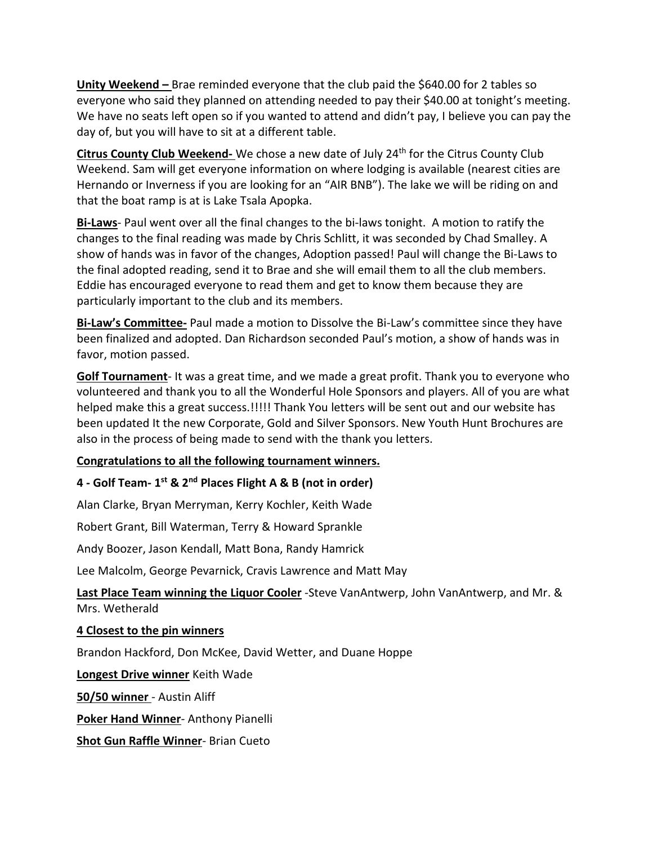**Unity Weekend –** Brae reminded everyone that the club paid the \$640.00 for 2 tables so everyone who said they planned on attending needed to pay their \$40.00 at tonight's meeting. We have no seats left open so if you wanted to attend and didn't pay, I believe you can pay the day of, but you will have to sit at a different table.

Citrus County Club Weekend- We chose a new date of July 24<sup>th</sup> for the Citrus County Club Weekend. Sam will get everyone information on where lodging is available (nearest cities are Hernando or Inverness if you are looking for an "AIR BNB"). The lake we will be riding on and that the boat ramp is at is Lake Tsala Apopka.

**Bi-Laws**- Paul went over all the final changes to the bi-laws tonight. A motion to ratify the changes to the final reading was made by Chris Schlitt, it was seconded by Chad Smalley. A show of hands was in favor of the changes, Adoption passed! Paul will change the Bi-Laws to the final adopted reading, send it to Brae and she will email them to all the club members. Eddie has encouraged everyone to read them and get to know them because they are particularly important to the club and its members.

**Bi-Law's Committee-** Paul made a motion to Dissolve the Bi-Law's committee since they have been finalized and adopted. Dan Richardson seconded Paul's motion, a show of hands was in favor, motion passed.

**Golf Tournament**- It was a great time, and we made a great profit. Thank you to everyone who volunteered and thank you to all the Wonderful Hole Sponsors and players. All of you are what helped make this a great success.!!!!! Thank You letters will be sent out and our website has been updated It the new Corporate, Gold and Silver Sponsors. New Youth Hunt Brochures are also in the process of being made to send with the thank you letters.

# **Congratulations to all the following tournament winners.**

# **4 - Golf Team- 1 st & 2nd Places Flight A & B (not in order)**

Alan Clarke, Bryan Merryman, Kerry Kochler, Keith Wade

Robert Grant, Bill Waterman, Terry & Howard Sprankle

Andy Boozer, Jason Kendall, Matt Bona, Randy Hamrick

Lee Malcolm, George Pevarnick, Cravis Lawrence and Matt May

**Last Place Team winning the Liquor Cooler** -Steve VanAntwerp, John VanAntwerp, and Mr. & Mrs. Wetherald

## **4 Closest to the pin winners**

Brandon Hackford, Don McKee, David Wetter, and Duane Hoppe

**Longest Drive winner** Keith Wade

**50/50 winner** - Austin Aliff

**Poker Hand Winner**- Anthony Pianelli

**Shot Gun Raffle Winner**- Brian Cueto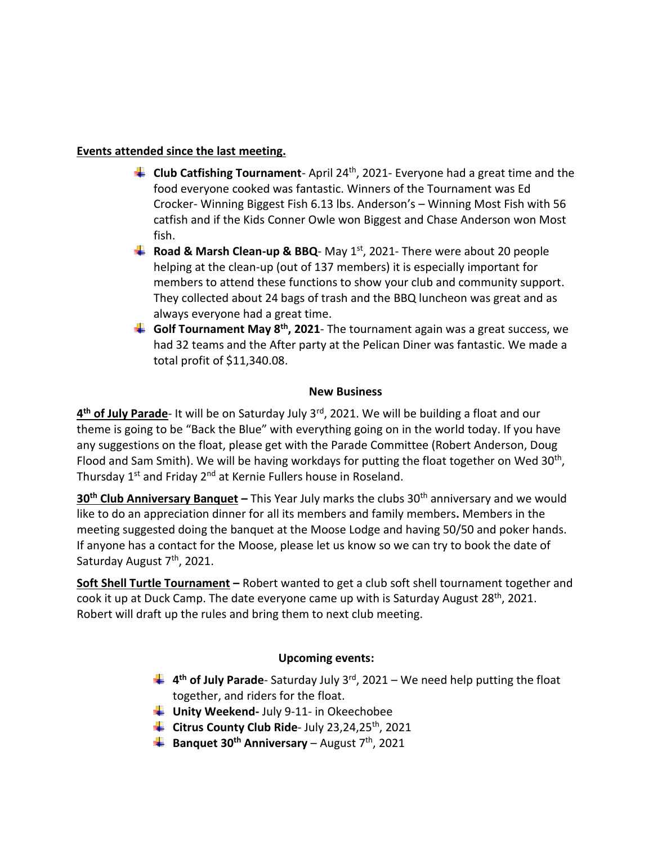# **Events attended since the last meeting.**

- **Club Catfishing Tournament** April 24 th, 2021- Everyone had a great time and the food everyone cooked was fantastic. Winners of the Tournament was Ed Crocker- Winning Biggest Fish 6.13 lbs. Anderson's – Winning Most Fish with 56 catfish and if the Kids Conner Owle won Biggest and Chase Anderson won Most fish.
- **Road & Marsh Clean-up & BBQ** May 1<sup>st</sup>, 2021- There were about 20 people helping at the clean-up (out of 137 members) it is especially important for members to attend these functions to show your club and community support. They collected about 24 bags of trash and the BBQ luncheon was great and as always everyone had a great time.
- **Golf Tournament May 8th, 2021** The tournament again was a great success, we had 32 teams and the After party at the Pelican Diner was fantastic. We made a total profit of \$11,340.08.

# **New Business**

**4 th of July Parade**- It will be on Saturday July 3rd, 2021. We will be building a float and our theme is going to be "Back the Blue" with everything going on in the world today. If you have any suggestions on the float, please get with the Parade Committee (Robert Anderson, Doug Flood and Sam Smith). We will be having workdays for putting the float together on Wed 30<sup>th</sup>, Thursday 1<sup>st</sup> and Friday 2<sup>nd</sup> at Kernie Fullers house in Roseland.

**30<sup>th</sup> Club Anniversary Banquet** – This Year July marks the clubs 30<sup>th</sup> anniversary and we would like to do an appreciation dinner for all its members and family members**.** Members in the meeting suggested doing the banquet at the Moose Lodge and having 50/50 and poker hands. If anyone has a contact for the Moose, please let us know so we can try to book the date of Saturday August 7<sup>th</sup>, 2021.

**Soft Shell Turtle Tournament –** Robert wanted to get a club soft shell tournament together and cook it up at Duck Camp. The date everyone came up with is Saturday August 28<sup>th</sup>, 2021. Robert will draft up the rules and bring them to next club meeting.

# **Upcoming events:**

- **4 th of July Parade** Saturday July 3rd, 2021 We need help putting the float together, and riders for the float.
- **Unity Weekend-** July 9-11- in Okeechobee
- **Citrus County Club Ride** July 23,24,25th, 2021
- **Banquet 30th Anniversary** August 7 th, 2021